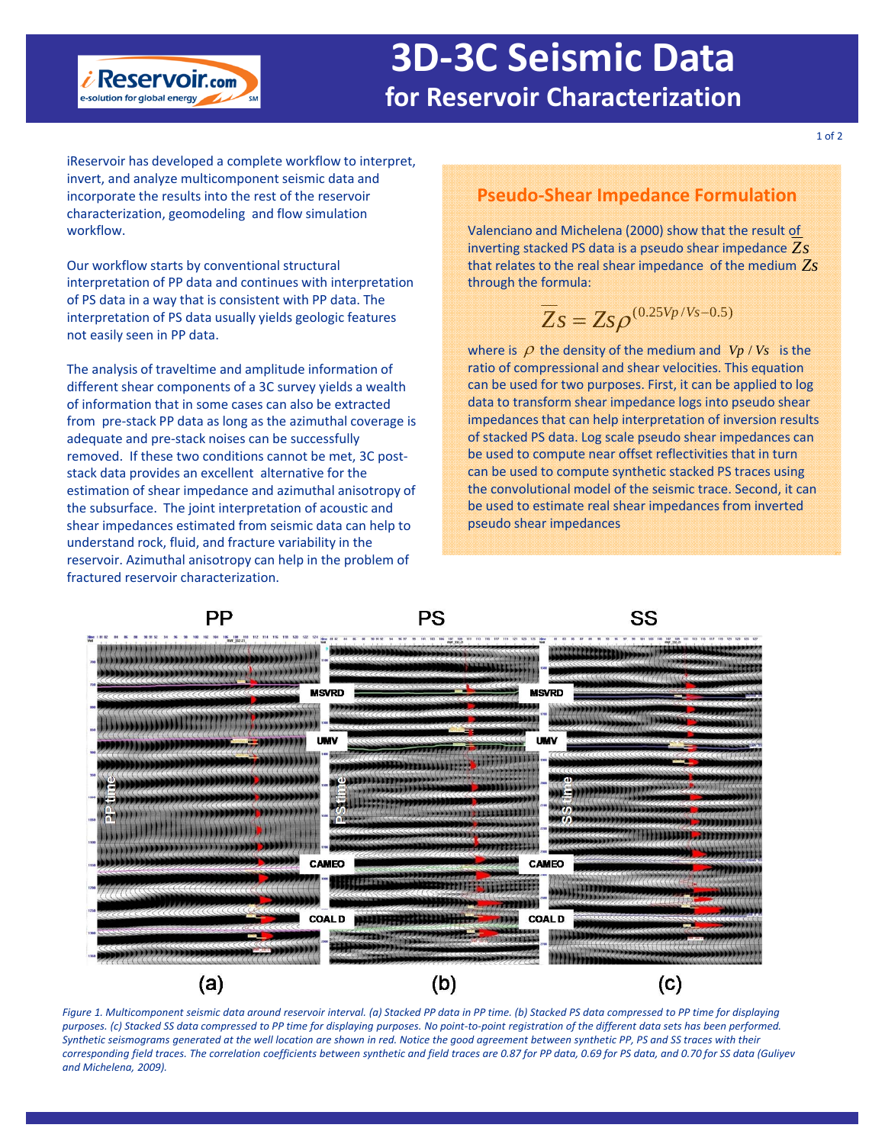iReservoir has developed a complete workflow to interpret, invert, and analyze multicomponent seismic data and incorporate the results into the rest of the reservoir characterization, geomodeling and flow simulation workflow.

 $i$  Reservoir.com e-solution for global energy

Our workflow starts by conventional structural interpretation of PP data and continues with interpretation of PS data in a way that is consistent with PP data. The interpretation of PS data usually yields geologic features not easily seen in PP data.

The analysis of traveltime and amplitude information of different shear components of a 3C survey yields a wealth of information that in some cases can also be extracted from pre-stack PP data as long as the azimuthal coverage is adequate and pre‐stack noises can be successfully removed. If these two conditions cannot be met, 3C poststack data provides an excellent alternative for the estimation of shear impedance and azimuthal anisotropy of the subsurface. The joint interpretation of acoustic and shear impedances estimated from seismic data can help to understand rock, fluid, and fracture variability in the reservoir. Azimuthal anisotropy can help in the problem of fractured reservoir characterization.

## **Pseudo‐Shear Impedance Formulation**

Valenciano and Michelena (2000) show that the result of inverting stacked PS data is a pseudo shear impedance *Zs* that relates to the real shear impedance of the medium *Zs* through the formula:

$$
\overline{Z}_S = Z_S \rho^{(0.25 V p/V s - 0.5)}
$$

where is  $\rho$  the density of the medium and  $\left\vert V_{P}\right\rangle /V_{S}\right\vert$  is the ratio of compressional and shear velocities. This equation can be used for two purposes. First, it can be applied to log data to transform shear impedance logs into pseudo shear impedances that can help interpretation of inversion results of stacked PS data. Log scale pseudo shear impedances can be used to compute near offset reflectivities that in turn can be used to compute synthetic stacked PS traces using the convolutional model of the seismic trace. Second, it can be used to estimate real shear impedances from inverted pseudo shear impedances



Figure 1. Multicomponent seismic data around reservoir interval. (a) Stacked PP data in PP time. (b) Stacked PS data compressed to PP time for displaying purposes. (c) Stacked SS data compressed to PP time for displaying purposes. No point-to-point registration of the different data sets has been performed. Synthetic seismograms generated at the well location are shown in red. Notice the good agreement between synthetic PP, PS and SS traces with their corresponding field traces. The correlation coefficients between synthetic and field traces are 0.87 for PP data, 0.69 for PS data, and 0.70 for SS data (Guliyev *and Michelena, 2009).*